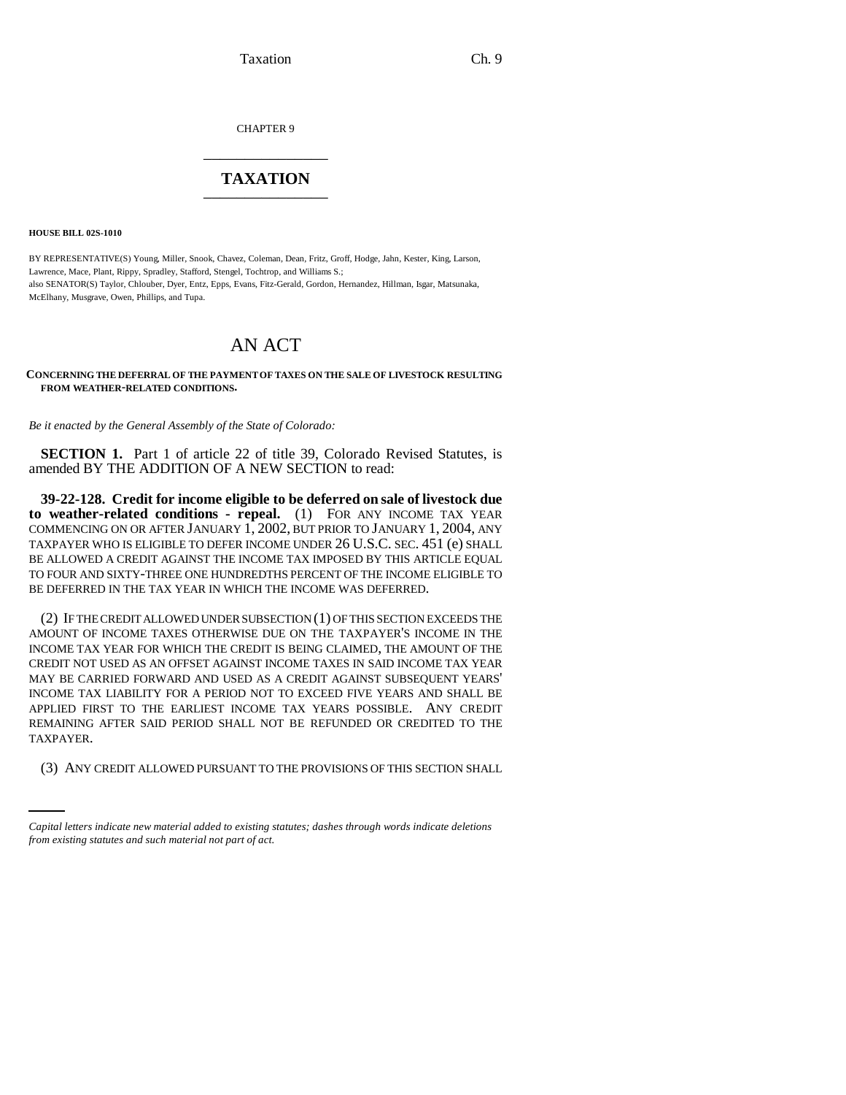Taxation Ch. 9

CHAPTER 9 \_\_\_\_\_\_\_\_\_\_\_\_\_\_\_

## **TAXATION** \_\_\_\_\_\_\_\_\_\_\_\_\_\_\_

**HOUSE BILL 02S-1010**

BY REPRESENTATIVE(S) Young, Miller, Snook, Chavez, Coleman, Dean, Fritz, Groff, Hodge, Jahn, Kester, King, Larson, Lawrence, Mace, Plant, Rippy, Spradley, Stafford, Stengel, Tochtrop, and Williams S.; also SENATOR(S) Taylor, Chlouber, Dyer, Entz, Epps, Evans, Fitz-Gerald, Gordon, Hernandez, Hillman, Isgar, Matsunaka, McElhany, Musgrave, Owen, Phillips, and Tupa.

## AN ACT

## **CONCERNING THE DEFERRAL OF THE PAYMENT OF TAXES ON THE SALE OF LIVESTOCK RESULTING FROM WEATHER-RELATED CONDITIONS.**

*Be it enacted by the General Assembly of the State of Colorado:*

**SECTION 1.** Part 1 of article 22 of title 39, Colorado Revised Statutes, is amended BY THE ADDITION OF A NEW SECTION to read:

**39-22-128. Credit for income eligible to be deferred on sale of livestock due to weather-related conditions - repeal.** (1) FOR ANY INCOME TAX YEAR COMMENCING ON OR AFTER JANUARY 1, 2002, BUT PRIOR TO JANUARY 1, 2004, ANY TAXPAYER WHO IS ELIGIBLE TO DEFER INCOME UNDER 26 U.S.C. SEC. 451 (e) SHALL BE ALLOWED A CREDIT AGAINST THE INCOME TAX IMPOSED BY THIS ARTICLE EQUAL TO FOUR AND SIXTY-THREE ONE HUNDREDTHS PERCENT OF THE INCOME ELIGIBLE TO BE DEFERRED IN THE TAX YEAR IN WHICH THE INCOME WAS DEFERRED.

TAXPAYER. (2) IF THE CREDIT ALLOWED UNDER SUBSECTION (1) OF THIS SECTION EXCEEDS THE AMOUNT OF INCOME TAXES OTHERWISE DUE ON THE TAXPAYER'S INCOME IN THE INCOME TAX YEAR FOR WHICH THE CREDIT IS BEING CLAIMED, THE AMOUNT OF THE CREDIT NOT USED AS AN OFFSET AGAINST INCOME TAXES IN SAID INCOME TAX YEAR MAY BE CARRIED FORWARD AND USED AS A CREDIT AGAINST SUBSEQUENT YEARS' INCOME TAX LIABILITY FOR A PERIOD NOT TO EXCEED FIVE YEARS AND SHALL BE APPLIED FIRST TO THE EARLIEST INCOME TAX YEARS POSSIBLE. ANY CREDIT REMAINING AFTER SAID PERIOD SHALL NOT BE REFUNDED OR CREDITED TO THE

(3) ANY CREDIT ALLOWED PURSUANT TO THE PROVISIONS OF THIS SECTION SHALL

*Capital letters indicate new material added to existing statutes; dashes through words indicate deletions from existing statutes and such material not part of act.*